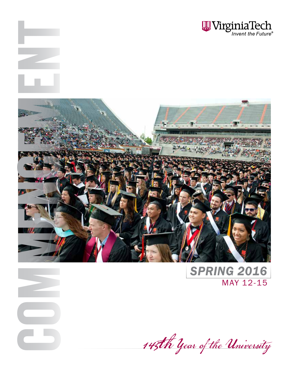



COM

ENT

*SPRING 2016* MAY 12-15

145th Year of the University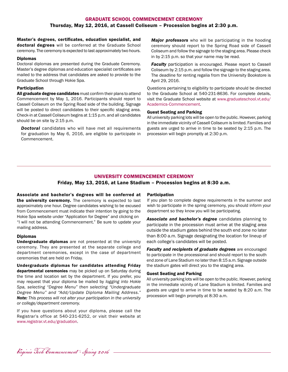# GRADUATE SCHOOL COMMENCEMENT CEREMONY Thursday, May 12, 2016, at Cassell Coliseum – Procession begins at 2:30 p.m.

Master's degrees, certificates, education specialist, and doctoral degrees will be conferred at the Graduate School ceremony. The ceremony is expected to last approximately two hours.

#### Diplomas

Doctoral diplomas are presented during the Graduate Ceremony. Master's degree diplomas and education specialist certificates are mailed to the address that candidates are asked to provide to the Graduate School through Hokie Spa.

#### Participation

All graduate degree candidates must confirm their plans to attend Commencement by May 1, 2016. Participants should report to Cassell Coliseum on the Spring Road side of the building. Signage will be posted to direct candidates to their specific staging area. Check-in at Cassell Coliseum begins at 1:15 p.m. and all candidates should be on site by 2:15 p.m.

*Doctoral* candidates who will have met all requirements for graduation by May 6, 2016, are eligible to participate in Commencement.

*Major professors* who will be participating in the hooding ceremony should report to the Spring Road side of Cassell Coliseum and follow the signage to the staging area. Please check in by 2:15 p.m. so that your name may be read.

**Faculty** participation is encouraged. Please report to Cassell Coliseum by 2:15 p.m. and follow the signage to the staging area. The deadline for renting regalia from the University Bookstore is April 29, 2016.

Questions pertaining to eligibility to participate should be directed to the Graduate School at 540-231-8636. For complete details, visit the Graduate School website at www.graduateschool.vt.edu/ Academics-Commencement.

#### Guest Seating and Parking

All university parking lots will be open to the public. However, parking in the immediate vicinity of Cassell Coliseum is limited. Families and guests are urged to arrive in time to be seated by 2:15 p.m. The procession will begin promptly at 2:30 p.m.

# UNIVERSITY COMMENCEMENT CEREMONY

# Friday, May 13, 2016, at Lane Stadium – Procession begins at 8:30 a.m.

Associate and bachelor's degrees will be conferred at the university ceremony. The ceremony is expected to last approximately one hour. Degree candidates wishing to be excused from Commencement must indicate their intention by going to the Hokie Spa website under "Application for Degree" and clicking on "I will not be attending Commencement." Be sure to update your mailing address.

#### Diplomas

Undergraduate diplomas are not presented at the university ceremony. They are presented at the separate college and department ceremonies, except in the case of department ceremonies that are held on Friday.

Undergraduate diplomas for candidates attending Friday departmental ceremonies may be picked up on Saturday during the time and location set by the department. If you prefer, you may request that your diploma be mailed by *logging into Hokie Spa, selecting "Degree Menu" then selecting "Undergraduate Degree Menu" and "Add/Update Diploma Mailing Address." Note: This process will not alter your participation in the university or college/department ceremony.*

If you have questions about your diploma, please call the Registrar's office at 540-231-6252, or visit their website at www.registrar.vt.edu/graduation.

#### **Participation**

If you plan to complete degree requirements in the summer and wish to participate in the spring ceremony, you should inform your department so they know you will be participating.

*Associate and bachelor's degree* candidates planning to participate in the procession must arrive at the staging area outside the stadium gates behind the south end zone no later than 8:00 a.m. Signage designating the location for lineup of each college's candidates will be posted.

**Faculty and recipients of graduate degrees** are encouraged to participate in the processional and should report to the south end zone of Lane Stadium no later than 8:15 a.m. Signage outside the stadium gates will direct you to the staging area.

#### Guest Seating and Parking

All university parking lots will be open to the public. However, parking in the immediate vicinity of Lane Stadium is limited. Families and guests are urged to arrive in time to be seated by 8:20 a.m. The procession will begin promptly at 8:30 a.m.

Virginia Tech Commencement - Spring 2016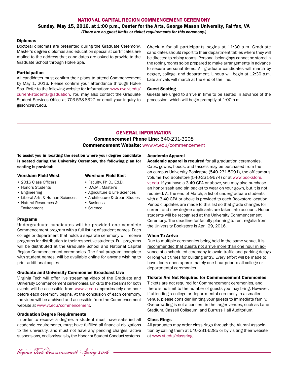## NATIONAL CAPITAL REGION COMMENCEMENT CEREMONY

# Sunday, May 15, 2016, at 1:00 p.m., Center for the Arts, George Mason University, Fairfax, VA *(There are no guest limits or ticket requirements for this ceremony.)*

#### Diplomas

Doctoral diplomas are presented during the Graduate Ceremony. Master's degree diplomas and education specialist certificates are mailed to the address that candidates are asked to provide to the Graduate School through Hokie Spa.

#### Participation

All candidates must confirm their plans to attend Commencement by May 1, 2016. Please confirm your attendance through Hokie Spa. Refer to the following website for information: www.nvc.vt.edu/ current-students/graduation. You may also contact the Graduate Student Services Office at 703-538-8327 or email your inquiry to gssoncr@vt.edu.

Check-in for all participants begins at 11:30 a.m. Graduate candidates should report to their department tables where they will be directed to robing rooms. Personal belongings cannot be stored in the robing rooms so be prepared to make arrangements in advance to secure personal items. All graduate candidates will march by degree, college, and department. Lineup will begin at 12:30 p.m. Late arrivals will march at the end of the line.

#### Guest Seating

Guests are urged to arrive in time to be seated in advance of the procession, which will begin promptly at 1:00 p.m.

# GENERAL INFORMATION Commencement Phone Line: 540-231-3208 Commencement Website: www.vt.edu/commencement

To assist you in locating the section where your degree candidate is seated during the University Ceremony, the following plan for seating is provided:

#### Worsham Field West Worsham Field East

• 2016 Class Officers

#### • Honors Students

- Engineering
- Liberal Arts & Human Sciences
- Natural Resources & Environment
- 
- Faculty, Ph.D., Ed.D.
- D.V.M., Master's
- Agriculture & Life Sciences
- Architecture & Urban Studies
- Business
- Science

### Programs

Undergraduate candidates will be provided one complete Commencement program with a full listing of student names. Each college or department that holds a separate ceremony will receive programs for distribution to their respective students. Full programs will be distributed at the Graduate School and National Capital Region Commencement ceremonies. The final program, complete with student names, will be available online for anyone wishing to print additional copies.

#### Graduate and University Ceremonies Broadcast Live

Virginia Tech will offer live streaming video of the Graduate and University Commencement ceremonies. Links to the streams for both events will be accessible from www.vt.edu approximately one hour before each ceremony begins. At the conclusion of each ceremony, the video will be archived and accessible from the Commencement website at www.vt.edu/commencement.

#### Graduation Degree Requirements

In order to receive a degree, a student must have satisfied all academic requirements, must have fulfilled all financial obligations to the university, and must not have any pending charges, active suspensions, or dismissals by the Honor or Student Conduct systems.

#### Academic Apparel

Academic apparel is required for all graduation ceremonies. Caps, gowns, hoods, and tassels may be purchased from the on-campus University Bookstore (540-231-5991), the off-campus Volume Two Bookstore (540-231-9674) or at www.bookstore. vt.edu. If you have a 3.40 GPA or above, you may also purchase an honor sash and pin packet to wear on your gown, but it is not required. At the end of March, a list of undergraduate students with a 3.40 GPA or above is provided to each Bookstore location. Periodic updates are made to this list so that grade changes for current and new degree applicants are taken into account. Honor students will be recognized at the University Commencement Ceremony. The deadline for faculty planning to rent regalia from the University Bookstore is April 29, 2016.

#### When To Arrive

Due to multiple ceremonies being held in the same venue, it is recommended that guests not arrive more than one hour in advance of a scheduled ceremony to avoid traffic and parking delays or long wait times for building entry. Every effort will be made to have doors open approximately one hour prior to all college or departmental ceremonies.

#### Tickets Are Not Required for Commencement Ceremonies

Tickets are not required for Commencement ceremonies, and there is no limit to the number of guests you may bring. However, if attending a college or departmental ceremony in a smaller venue, please consider limiting your guests to immediate family. Overcrowding is not a concern in the larger venues, such as Lane Stadium, Cassell Coliseum, and Burruss Hall Auditorium.

#### Class Rings

All graduates may order class rings through the Alumni Association by calling them at 540-231-6285 or by visiting their website at www.vt.edu/classring.

Virginia Tech Commencement - Spring 2016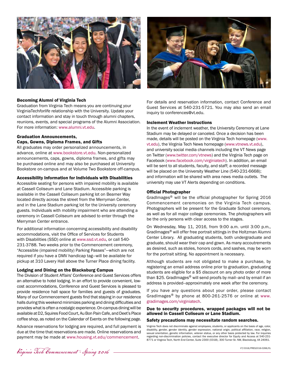

#### Becoming Alumni of Virginia Tech

Graduation from Virginia Tech means you are continuing your VirginiaTech*forlife* relationship with the University. Update your contact information and stay in touch through alumni chapters, reunions, events, and special programs of the Alumni Association. For more information: www.alumni.vt.edu.

# Graduation Announcements,

#### Caps, Gowns, Diploma Frames, and Gifts

All graduates may order personalized announcements, in advance, online at www.bookstore.vt.edu. Non-personalized announcements, caps, gowns, diploma frames, and gifts may be purchased online and may also be purchased at University Bookstore on-campus and at Volume Two Bookstore off-campus.

#### Accessibility Information for Individuals with Disabilities

Accessible seating for persons with impaired mobility is available at Cassell Coliseum and Lane Stadium. Accessible parking is available in the Cassell Coliseum parking lot on Beamer Way located directly across the street from the Merryman Center, and in the Lane Stadium parking lot for the University ceremony guests. Individuals with mobility impairment who are attending a ceremony in Cassell Coliseum are advised to enter through the Merryman Center entrance.

For additional information concerning accessibility and disability accommodations, visit the Office of Services for Students with Disabilities (SSD) online at www.ssd.vt.edu, or call 540- 231-3788. Two weeks prior to the Commencement ceremony, "Accessible (impaired mobility) Parking Passes"—which are not required if you have a DMV handicap tag—will be available for pickup at 310 Lavery Hall above the Turner Place dining facility.

#### Lodging and Dining on the Blacksburg Campus

The Division of Student Affairs' Conference and Guest Services offers an alternative to hotel lodging. In an effort to provide convenient, lowcost accommodations, Conference and Guest Services is pleased to provide residence hall space for families and guests of graduates. Many of our Commencement guests find that staying in our residence halls during this weekend minimizes parking and dining difficulties and provides what is often a nostalgic experience. On-campus dining will be available at D2, Squires Food Court, Au Bon Pain Cafe, and Deet's Place coffee shop, as noted on the Calendar of Events on the following page.

Advance reservations for lodging are required, and full payment is due at the time that reservations are made. Online reservations and payment may be made at www.housing.vt.edu/commencement.



For details and reservation information, contact Conference and Guest Services at 540-231-5721. You may also send an email inquiry to conferences@vt.edu.

#### Inclement Weather Instructions

In the event of inclement weather, the University Ceremony at Lane Stadium may be delayed or canceled. Once a decision has been made, details will be posted on the Virginia Tech homepage (www. vt.edu), the Virginia Tech News homepage (www.vtnews.vt.edu), and university social media channels including the VT News page on Twitter (www.twitter.com/vtnews) and the Virginia Tech page on Facebook (www.facebook.com/virginiatech). In addition, an email will be sent to all students, faculty, and staff; a recorded message will be placed on the University Weather Line (540-231-6668); and information will be shared with area news media outlets. The university may use VT Alerts depending on conditions.

#### Official Photographer

GradImages<sup>®</sup> will be the official photographer for Spring 2016 Commencement ceremonies on the Virginia Tech campus. Photographers will be present for the Graduate School ceremony, as well as for all major college ceremonies. The photographers will be the only persons with clear access to the stages.

On Wednesday, May 11, 2016, from 9:00 a.m. until 3:00 p.m., GradImages® will offer free portrait sittings in the Holtzman Alumni Center Library. All graduating students, both undergraduate and graduate, should wear their cap and gown. As many accoutrements as desired, such as stoles, honors cords, and sashes, may be worn for the portrait sitting. No appointment is necessary.

Although students are not obligated to make a purchase, by registering an email address online prior to graduation, graduating students are eligible for a \$5 discount on any photo order of more than \$25. GradImages<sup>®</sup> will send proofs by mail--and by email if an address is provided--approximately one week after the ceremony.

If you have any questions about your order, please contact GradImages® by phone at 800-261-2576 or online at www. gradimages.com/virginiatech.

#### Due to security procedures, wrapped packages will not be allowed in Cassell Coliseum or Lane Stadium.

#### Safety precautions may necessitate random searches.

Virginia Tech does not discriminate against employees, students, or applicants on the basis of age, color, disability, gender, gender identity, gender expression, national origin, political affiliation, race, religion, sexual orientation, genetic information, veteran status, or any other basis protected by law. For inquiries regarding non-discrimination policies, contact the executive director for Equity and Access at 540-231- 8771 or Virginia Tech, North End Center, Suite 2300 (0318), 300 Turner St. NW, Blacksburg, VA 24061.

Virginia Tech Commencement - Spring 2016